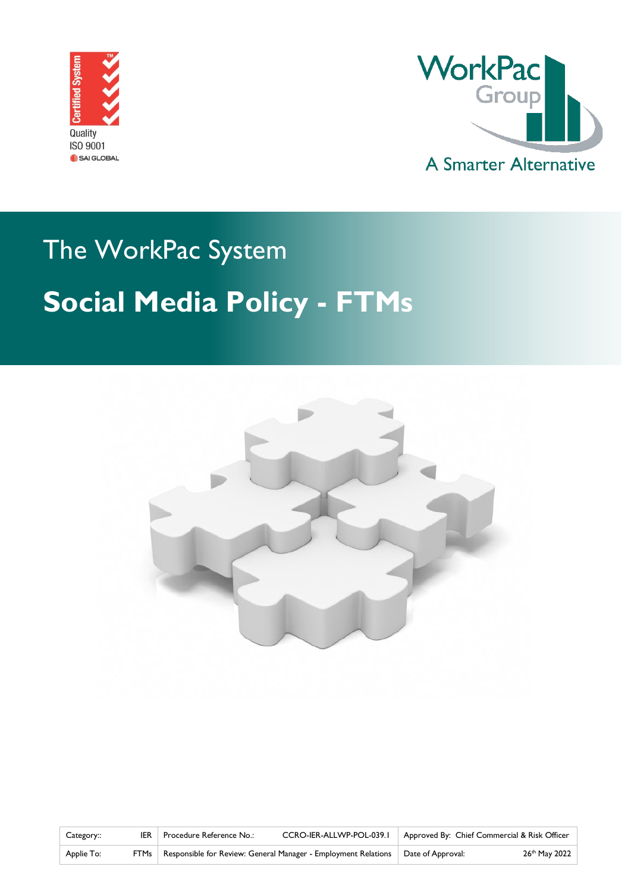



# The WorkPac System **Social Media Policy - FTMs**



| Category:: | Procedure Reference No.:                                                                  | CCRO-IER-ALLWP-POL-039.1   Approved By: Chief Commercial & Risk Officer |                           |
|------------|-------------------------------------------------------------------------------------------|-------------------------------------------------------------------------|---------------------------|
| Applie To: | FTMs   Responsible for Review: General Manager - Employment Relations   Date of Approval: |                                                                         | 26 <sup>th</sup> May 2022 |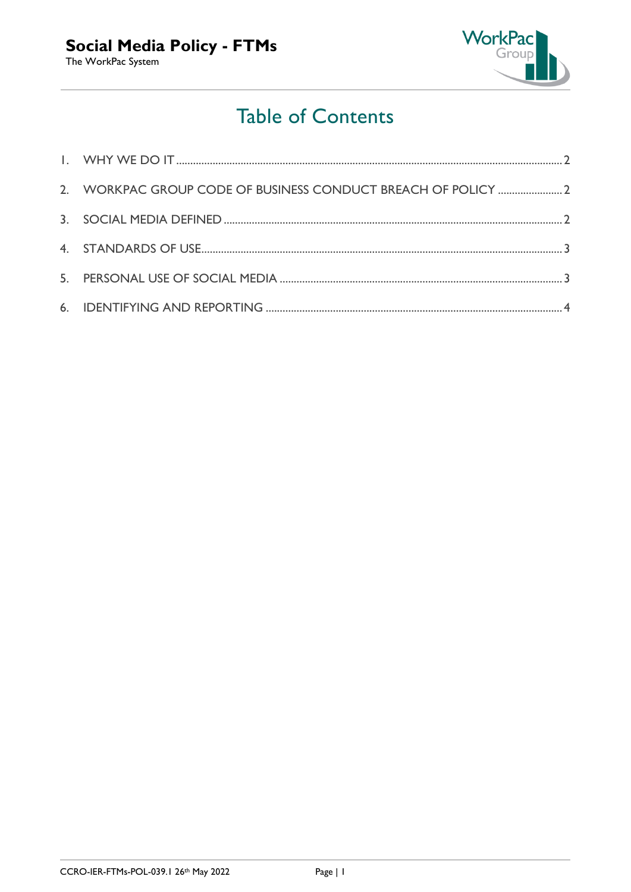

## **Table of Contents**

| 2. WORKPAC GROUP CODE OF BUSINESS CONDUCT BREACH OF POLICY  2 |  |
|---------------------------------------------------------------|--|
|                                                               |  |
|                                                               |  |
|                                                               |  |
|                                                               |  |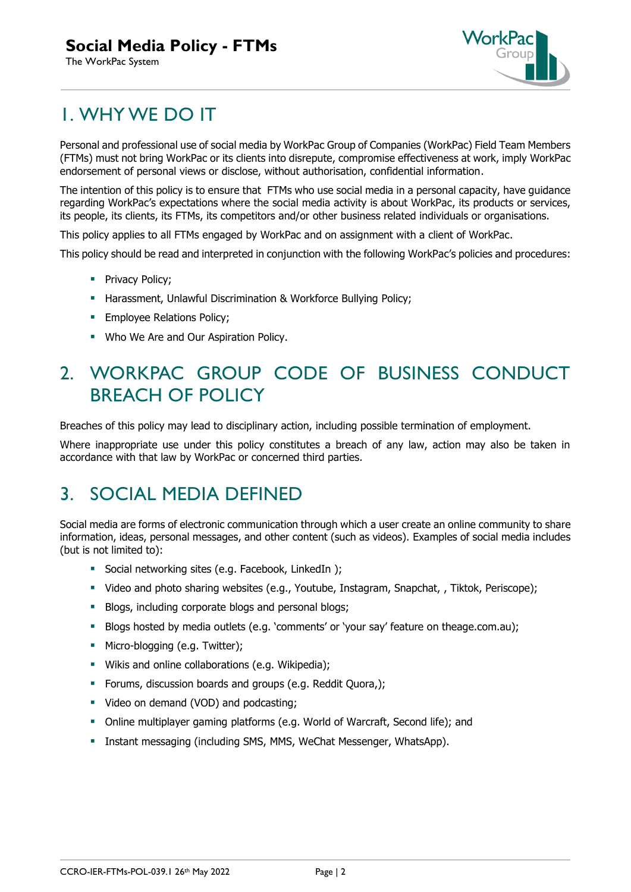#### **Social Media Policy - FTMs**

The WorkPac System



## <span id="page-2-0"></span>1. WHY WE DO IT

Personal and professional use of social media by WorkPac Group of Companies (WorkPac) Field Team Members (FTMs) must not bring WorkPac or its clients into disrepute, compromise effectiveness at work, imply WorkPac endorsement of personal views or disclose, without authorisation, confidential information.

The intention of this policy is to ensure that FTMs who use social media in a personal capacity, have guidance regarding WorkPac's expectations where the social media activity is about WorkPac, its products or services, its people, its clients, its FTMs, its competitors and/or other business related individuals or organisations.

This policy applies to all FTMs engaged by WorkPac and on assignment with a client of WorkPac.

This policy should be read and interpreted in conjunction with the following WorkPac's policies and procedures:

- **•** Privacy Policy;
- **E** Harassment, Unlawful Discrimination & Workforce Bullying Policy;
- **Employee Relations Policy;**
- Who We Are and Our Aspiration Policy.

## <span id="page-2-1"></span>2. WORKPAC GROUP CODE OF BUSINESS CONDUCT BREACH OF POLICY

Breaches of this policy may lead to disciplinary action, including possible termination of employment.

Where inappropriate use under this policy constitutes a breach of any law, action may also be taken in accordance with that law by WorkPac or concerned third parties.

### <span id="page-2-2"></span>3. SOCIAL MEDIA DEFINED

Social media are forms of electronic communication through which a user create an online community to share information, ideas, personal messages, and other content (such as videos). Examples of social media includes (but is not limited to):

- Social networking sites (e.g. Facebook, LinkedIn );
- Video and photo sharing websites (e.g., Youtube, Instagram, Snapchat, , Tiktok, Periscope);
- **E** Blogs, including corporate blogs and personal blogs;
- Blogs hosted by media outlets (e.g. 'comments' or 'your say' feature on theage.com.au);
- **•** Micro-blogging (e.g. Twitter);
- Wikis and online collaborations (e.g. Wikipedia);
- **•** Forums, discussion boards and groups (e.g. Reddit Quora,);
- Video on demand (VOD) and podcasting;
- Online multiplayer gaming platforms (e.g. World of Warcraft, Second life); and
- Instant messaging (including SMS, MMS, WeChat Messenger, WhatsApp).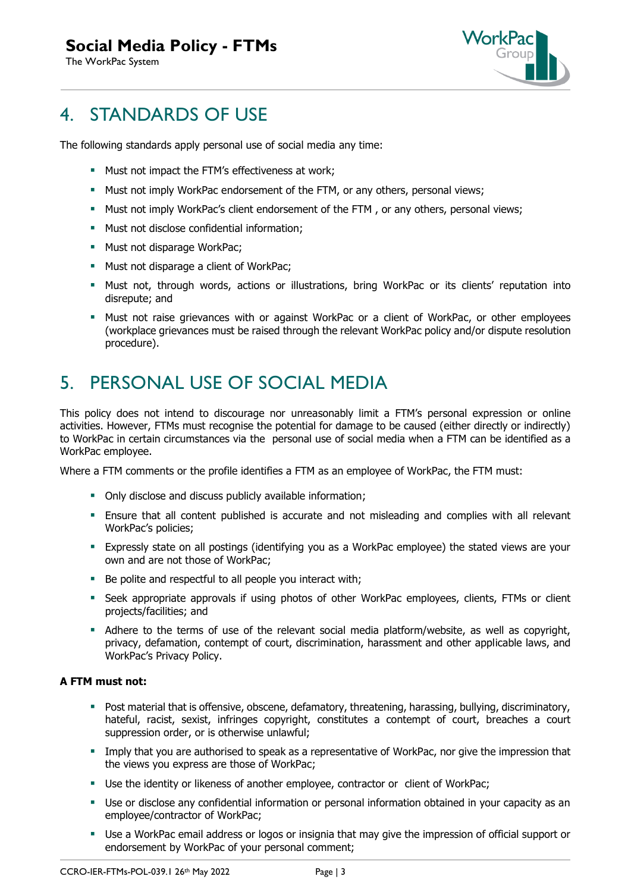#### **Social Media Policy - FTMs**

The WorkPac System



## <span id="page-3-0"></span>4. STANDARDS OF USE

The following standards apply personal use of social media any time:

- **■** Must not impact the FTM's effectiveness at work;
- **■** Must not imply WorkPac endorsement of the FTM, or any others, personal views;
- **■** Must not imply WorkPac's client endorsement of the FTM, or any others, personal views;
- Must not disclose confidential information:
- Must not disparage WorkPac;
- Must not disparage a client of WorkPac;
- **■** Must not, through words, actions or illustrations, bring WorkPac or its clients' reputation into disrepute; and
- **■** Must not raise grievances with or against WorkPac or a client of WorkPac, or other employees (workplace grievances must be raised through the relevant WorkPac policy and/or dispute resolution procedure).

## <span id="page-3-1"></span>5. PERSONAL USE OF SOCIAL MEDIA

This policy does not intend to discourage nor unreasonably limit a FTM's personal expression or online activities. However, FTMs must recognise the potential for damage to be caused (either directly or indirectly) to WorkPac in certain circumstances via the personal use of social media when a FTM can be identified as a WorkPac employee.

Where a FTM comments or the profile identifies a FTM as an employee of WorkPac, the FTM must:

- Only disclose and discuss publicly available information;
- **Ensure that all content published is accurate and not misleading and complies with all relevant** WorkPac's policies;
- **Expressly state on all postings (identifying you as a WorkPac employee) the stated views are your** own and are not those of WorkPac;
- Be polite and respectful to all people you interact with;
- Seek appropriate approvals if using photos of other WorkPac employees, clients, FTMs or client projects/facilities; and
- **EXECT** Adhere to the terms of use of the relevant social media platform/website, as well as copyright, privacy, defamation, contempt of court, discrimination, harassment and other applicable laws, and WorkPac's Privacy Policy.

#### **A FTM must not:**

- **•** Post material that is offensive, obscene, defamatory, threatening, harassing, bullying, discriminatory, hateful, racist, sexist, infringes copyright, constitutes a contempt of court, breaches a court suppression order, or is otherwise unlawful;
- **.** Imply that you are authorised to speak as a representative of WorkPac, nor give the impression that the views you express are those of WorkPac;
- Use the identity or likeness of another employee, contractor or client of WorkPac;
- **■** Use or disclose any confidential information or personal information obtained in your capacity as an employee/contractor of WorkPac;
- Use a WorkPac email address or logos or insignia that may give the impression of official support or endorsement by WorkPac of your personal comment;